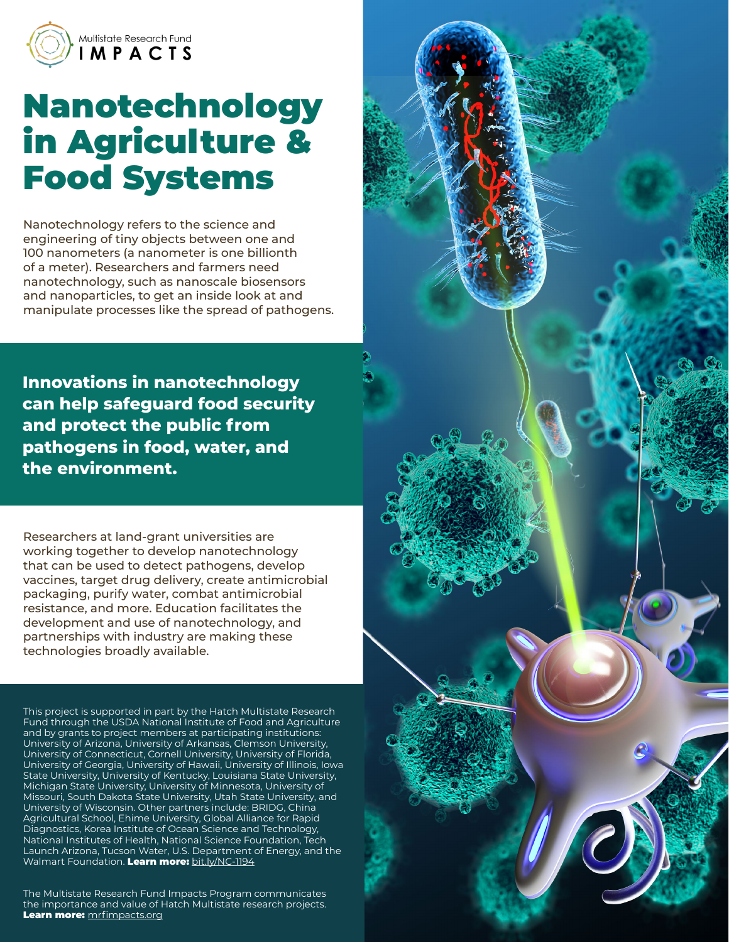

# Nanotechnology in Agriculture & Food Systems

Nanotechnology refers to the science and engineering of tiny objects between one and 100 nanometers (a nanometer is one billionth of a meter). Researchers and farmers need nanotechnology, such as nanoscale biosensors and nanoparticles, to get an inside look at and manipulate processes like the spread of pathogens.

**Innovations in nanotechnology can help safeguard food security and protect the public from pathogens in food, water, and the environment.** 

Researchers at land-grant universities are working together to develop nanotechnology that can be used to detect pathogens, develop vaccines, target drug delivery, create antimicrobial packaging, purify water, combat antimicrobial resistance, and more. Education facilitates the development and use of nanotechnology, and partnerships with industry are making these technologies broadly available.

This project is supported in part by the Hatch Multistate Research Fund through the USDA National Institute of Food and Agriculture and by grants to project members at participating institutions: University of Arizona, University of Arkansas, Clemson University, University of Connecticut, Cornell University, University of Florida, University of Georgia, University of Hawaii, University of Illinois, Iowa State University, University of Kentucky, Louisiana State University, Michigan State University, University of Minnesota, University of Missouri, South Dakota State University, Utah State University, and University of Wisconsin. Other partners include: BRIDG, China Agricultural School, Ehime University, Global Alliance for Rapid Diagnostics, Korea Institute of Ocean Science and Technology, National Institutes of Health, National Science Foundation, Tech Launch Arizona, Tucson Water, U.S. Department of Energy, and the Walmart Foundation. Learn more: [bit.ly/NC-1194](https://bit.ly/NC-1194)

The Multistate Research Fund Impacts Program communicates the importance and value of Hatch Multistate research projects. Learn more: [mrfimpacts.org](http://mrfimpacts.org)